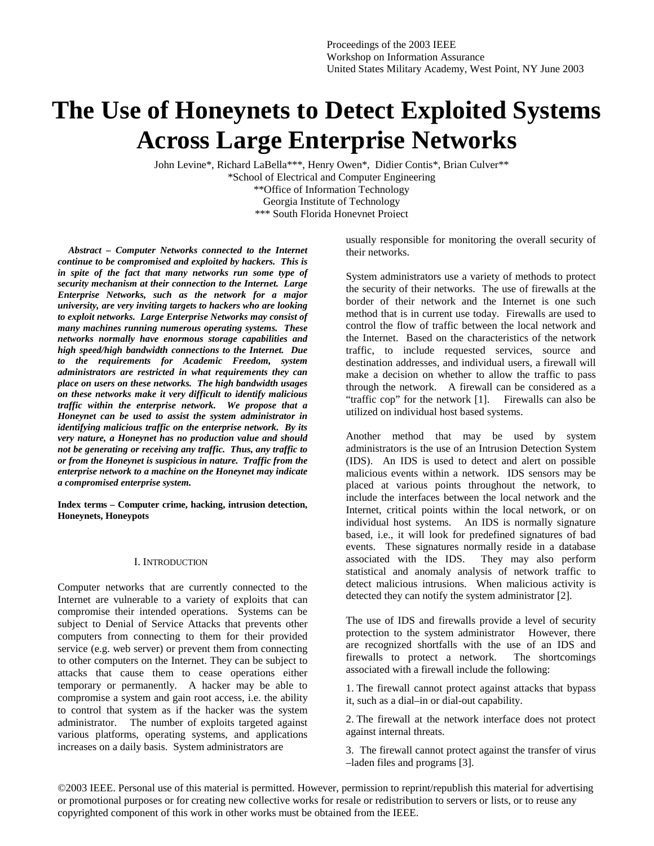# **The Use of Honeynets to Detect Exploited Systems Across Large Enterprise Networks**

John Levine\*, Richard LaBella\*\*\*, Henry Owen\*, Didier Contis\*, Brian Culver\*\* \*School of Electrical and Computer Engineering \*\*Office of Information Technology Georgia Institute of Technology \*\*\* South Florida Honeynet Project

*Abstract – Computer Networks connected to the Internet continue to be compromised and exploited by hackers. This is in spite of the fact that many networks run some type of security mechanism at their connection to the Internet. Large Enterprise Networks, such as the network for a major university, are very inviting targets to hackers who are looking to exploit networks. Large Enterprise Networks may consist of many machines running numerous operating systems. These networks normally have enormous storage capabilities and high speed/high bandwidth connections to the Internet. Due to the requirements for Academic Freedom, system administrators are restricted in what requirements they can place on users on these networks. The high bandwidth usages on these networks make it very difficult to identify malicious traffic within the enterprise network. We propose that a Honeynet can be used to assist the system administrator in identifying malicious traffic on the enterprise network. By its very nature, a Honeynet has no production value and should not be generating or receiving any traffic. Thus, any traffic to or from the Honeynet is suspicious in nature. Traffic from the enterprise network to a machine on the Honeynet may indicate a compromised enterprise system.* 

**Index terms – Computer crime, hacking, intrusion detection, Honeynets, Honeypots** 

#### I. INTRODUCTION

Computer networks that are currently connected to the Internet are vulnerable to a variety of exploits that can compromise their intended operations. Systems can be subject to Denial of Service Attacks that prevents other computers from connecting to them for their provided service (e.g. web server) or prevent them from connecting to other computers on the Internet. They can be subject to attacks that cause them to cease operations either temporary or permanently. A hacker may be able to compromise a system and gain root access, i.e. the ability to control that system as if the hacker was the system administrator. The number of exploits targeted against various platforms, operating systems, and applications increases on a daily basis. System administrators are

usually responsible for monitoring the overall security of their networks.

System administrators use a variety of methods to protect the security of their networks. The use of firewalls at the border of their network and the Internet is one such method that is in current use today. Firewalls are used to control the flow of traffic between the local network and the Internet. Based on the characteristics of the network traffic, to include requested services, source and destination addresses, and individual users, a firewall will make a decision on whether to allow the traffic to pass through the network. A firewall can be considered as a "traffic cop" for the network [1]. Firewalls can also be utilized on individual host based systems.

Another method that may be used by system administrators is the use of an Intrusion Detection System (IDS). An IDS is used to detect and alert on possible malicious events within a network. IDS sensors may be placed at various points throughout the network, to include the interfaces between the local network and the Internet, critical points within the local network, or on individual host systems. An IDS is normally signature based, i.e., it will look for predefined signatures of bad events. These signatures normally reside in a database associated with the IDS. They may also perform statistical and anomaly analysis of network traffic to detect malicious intrusions. When malicious activity is detected they can notify the system administrator [2].

The use of IDS and firewalls provide a level of security protection to the system administrator However, there are recognized shortfalls with the use of an IDS and firewalls to protect a network. The shortcomings associated with a firewall include the following:

1. The firewall cannot protect against attacks that bypass it, such as a dial–in or dial-out capability.

2. The firewall at the network interface does not protect against internal threats.

3. The firewall cannot protect against the transfer of virus –laden files and programs [3].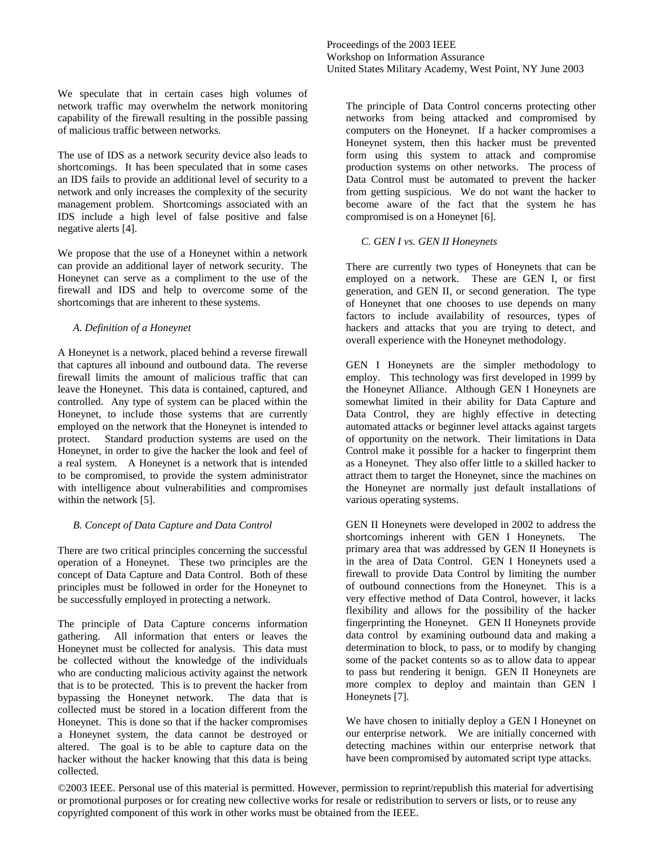We speculate that in certain cases high volumes of network traffic may overwhelm the network monitoring capability of the firewall resulting in the possible passing of malicious traffic between networks.

The use of IDS as a network security device also leads to shortcomings. It has been speculated that in some cases an IDS fails to provide an additional level of security to a network and only increases the complexity of the security management problem. Shortcomings associated with an IDS include a high level of false positive and false negative alerts [4].

We propose that the use of a Honeynet within a network can provide an additional layer of network security. The Honeynet can serve as a compliment to the use of the firewall and IDS and help to overcome some of the shortcomings that are inherent to these systems.

### *A. Definition of a Honeynet*

A Honeynet is a network, placed behind a reverse firewall that captures all inbound and outbound data. The reverse firewall limits the amount of malicious traffic that can leave the Honeynet. This data is contained, captured, and controlled. Any type of system can be placed within the Honeynet, to include those systems that are currently employed on the network that the Honeynet is intended to protect. Standard production systems are used on the Honeynet, in order to give the hacker the look and feel of a real system. A Honeynet is a network that is intended to be compromised, to provide the system administrator with intelligence about vulnerabilities and compromises within the network [5].

### *B. Concept of Data Capture and Data Control*

There are two critical principles concerning the successful operation of a Honeynet. These two principles are the concept of Data Capture and Data Control. Both of these principles must be followed in order for the Honeynet to be successfully employed in protecting a network.

The principle of Data Capture concerns information gathering. All information that enters or leaves the Honeynet must be collected for analysis. This data must be collected without the knowledge of the individuals who are conducting malicious activity against the network that is to be protected. This is to prevent the hacker from bypassing the Honeynet network. The data that is collected must be stored in a location different from the Honeynet. This is done so that if the hacker compromises a Honeynet system, the data cannot be destroyed or altered. The goal is to be able to capture data on the hacker without the hacker knowing that this data is being collected.

 Proceedings of the 2003 IEEE Workshop on Information Assurance United States Military Academy, West Point, NY June 2003

The principle of Data Control concerns protecting other networks from being attacked and compromised by computers on the Honeynet. If a hacker compromises a Honeynet system, then this hacker must be prevented form using this system to attack and compromise production systems on other networks. The process of Data Control must be automated to prevent the hacker from getting suspicious. We do not want the hacker to become aware of the fact that the system he has compromised is on a Honeynet [6].

## *C. GEN I vs. GEN II Honeynets*

There are currently two types of Honeynets that can be employed on a network. These are GEN I, or first generation, and GEN II, or second generation. The type of Honeynet that one chooses to use depends on many factors to include availability of resources, types of hackers and attacks that you are trying to detect, and overall experience with the Honeynet methodology.

GEN I Honeynets are the simpler methodology to employ. This technology was first developed in 1999 by the Honeynet Alliance. Although GEN I Honeynets are somewhat limited in their ability for Data Capture and Data Control, they are highly effective in detecting automated attacks or beginner level attacks against targets of opportunity on the network. Their limitations in Data Control make it possible for a hacker to fingerprint them as a Honeynet. They also offer little to a skilled hacker to attract them to target the Honeynet, since the machines on the Honeynet are normally just default installations of various operating systems.

GEN II Honeynets were developed in 2002 to address the shortcomings inherent with GEN I Honeynets. The primary area that was addressed by GEN II Honeynets is in the area of Data Control. GEN I Honeynets used a firewall to provide Data Control by limiting the number of outbound connections from the Honeynet. This is a very effective method of Data Control, however, it lacks flexibility and allows for the possibility of the hacker fingerprinting the Honeynet. GEN II Honeynets provide data control by examining outbound data and making a determination to block, to pass, or to modify by changing some of the packet contents so as to allow data to appear to pass but rendering it benign. GEN II Honeynets are more complex to deploy and maintain than GEN I Honeynets [7].

We have chosen to initially deploy a GEN I Honeynet on our enterprise network. We are initially concerned with detecting machines within our enterprise network that have been compromised by automated script type attacks.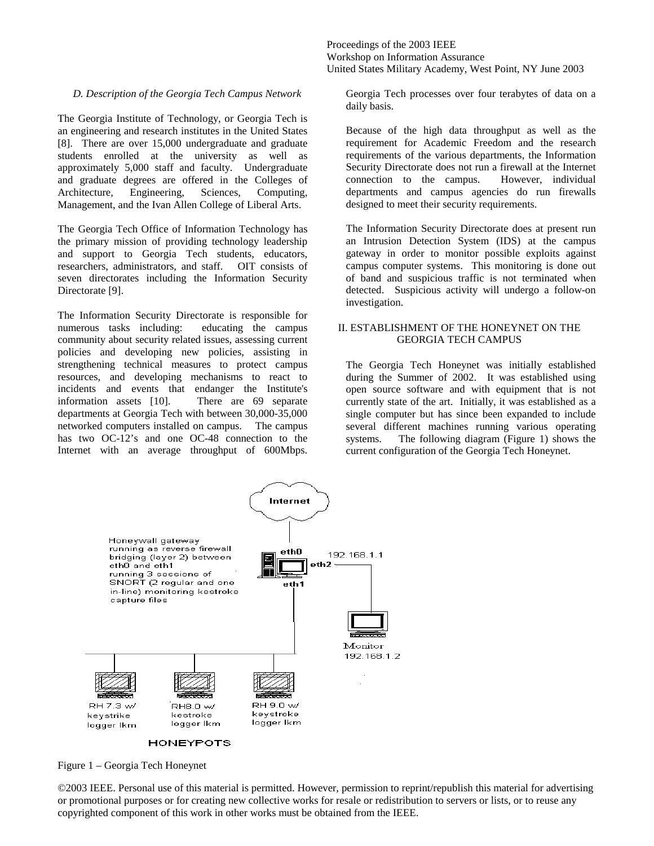## *D. Description of the Georgia Tech Campus Network*

The Georgia Institute of Technology, or Georgia Tech is an engineering and research institutes in the United States [8]. There are over 15,000 undergraduate and graduate students enrolled at the university as well as approximately 5,000 staff and faculty. Undergraduate and graduate degrees are offered in the Colleges of Architecture, Engineering, Sciences, Computing, Management, and the Ivan Allen College of Liberal Arts.

The Georgia Tech Office of Information Technology has the primary mission of providing technology leadership and support to Georgia Tech students, educators, researchers, administrators, and staff. OIT consists of seven directorates including the Information Security Directorate [9].

The Information Security Directorate is responsible for numerous tasks including: educating the campus community about security related issues, assessing current policies and developing new policies, assisting in strengthening technical measures to protect campus resources, and developing mechanisms to react to incidents and events that endanger the Institute's information assets [10]. There are 69 separate departments at Georgia Tech with between 30,000-35,000 networked computers installed on campus. The campus has two OC-12's and one OC-48 connection to the Internet with an average throughput of 600Mbps.

 Proceedings of the 2003 IEEE Workshop on Information Assurance United States Military Academy, West Point, NY June 2003

Georgia Tech processes over four terabytes of data on a daily basis.

Because of the high data throughput as well as the requirement for Academic Freedom and the research requirements of the various departments, the Information Security Directorate does not run a firewall at the Internet connection to the campus. However, individual departments and campus agencies do run firewalls designed to meet their security requirements.

The Information Security Directorate does at present run an Intrusion Detection System (IDS) at the campus gateway in order to monitor possible exploits against campus computer systems. This monitoring is done out of band and suspicious traffic is not terminated when detected. Suspicious activity will undergo a follow-on investigation.

# II. ESTABLISHMENT OF THE HONEYNET ON THE GEORGIA TECH CAMPUS

The Georgia Tech Honeynet was initially established during the Summer of 2002. It was established using open source software and with equipment that is not currently state of the art. Initially, it was established as a single computer but has since been expanded to include several different machines running various operating systems. The following diagram (Figure 1) shows the current configuration of the Georgia Tech Honeynet.



Figure 1 – Georgia Tech Honeynet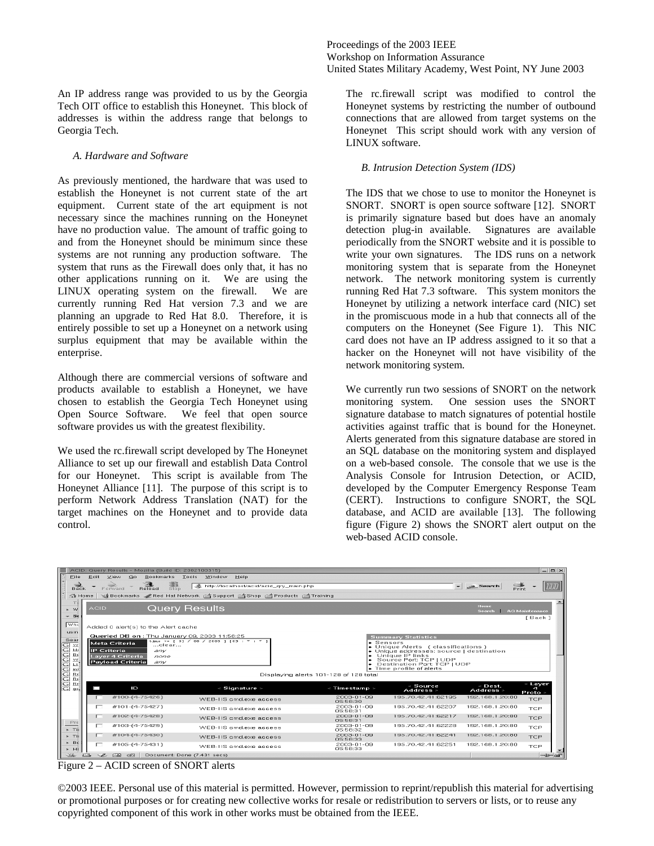An IP address range was provided to us by the Georgia Tech OIT office to establish this Honeynet. This block of addresses is within the address range that belongs to Georgia Tech.

## *A. Hardware and Software*

As previously mentioned, the hardware that was used to establish the Honeynet is not current state of the art equipment. Current state of the art equipment is not necessary since the machines running on the Honeynet have no production value. The amount of traffic going to and from the Honeynet should be minimum since these systems are not running any production software. The system that runs as the Firewall does only that, it has no other applications running on it. We are using the LINUX operating system on the firewall. We are currently running Red Hat version 7.3 and we are planning an upgrade to Red Hat 8.0. Therefore, it is entirely possible to set up a Honeynet on a network using surplus equipment that may be available within the enterprise.

Although there are commercial versions of software and products available to establish a Honeynet, we have chosen to establish the Georgia Tech Honeynet using Open Source Software. We feel that open source software provides us with the greatest flexibility.

We used the rc.firewall script developed by The Honeynet Alliance to set up our firewall and establish Data Control for our Honeynet. This script is available from The Honeynet Alliance [11]. The purpose of this script is to perform Network Address Translation (NAT) for the target machines on the Honeynet and to provide data control.

 Proceedings of the 2003 IEEE Workshop on Information Assurance United States Military Academy, West Point, NY June 2003

The rc.firewall script was modified to control the Honeynet systems by restricting the number of outbound connections that are allowed from target systems on the Honeynet This script should work with any version of LINUX software.

# *B. Intrusion Detection System (IDS)*

The IDS that we chose to use to monitor the Honeynet is SNORT. SNORT is open source software [12]. SNORT is primarily signature based but does have an anomaly detection plug-in available. Signatures are available periodically from the SNORT website and it is possible to write your own signatures. The IDS runs on a network monitoring system that is separate from the Honeynet network. The network monitoring system is currently running Red Hat 7.3 software. This system monitors the Honeynet by utilizing a network interface card (NIC) set in the promiscuous mode in a hub that connects all of the computers on the Honeynet (See Figure 1). This NIC card does not have an IP address assigned to it so that a hacker on the Honeynet will not have visibility of the network monitoring system.

We currently run two sessions of SNORT on the network monitoring system. One session uses the SNORT signature database to match signatures of potential hostile activities against traffic that is bound for the Honeynet. Alerts generated from this signature database are stored in an SQL database on the monitoring system and displayed on a web-based console. The console that we use is the Analysis Console for Intrusion Detection, or ACID, developed by the Computer Emergency Response Team (CERT). Instructions to configure SNORT, the SQL database, and ACID are available [13]. The following figure (Figure 2) shows the SNORT alert output on the web-based ACID console.



Figure 2 – ACID screen of SNORT alerts

©2003 IEEE. Personal use of this material is permitted. However, permission to reprint/republish this material for advertising or promotional purposes or for creating new collective works for resale or redistribution to servers or lists, or to reuse any copyrighted component of this work in other works must be obtained from the IEEE.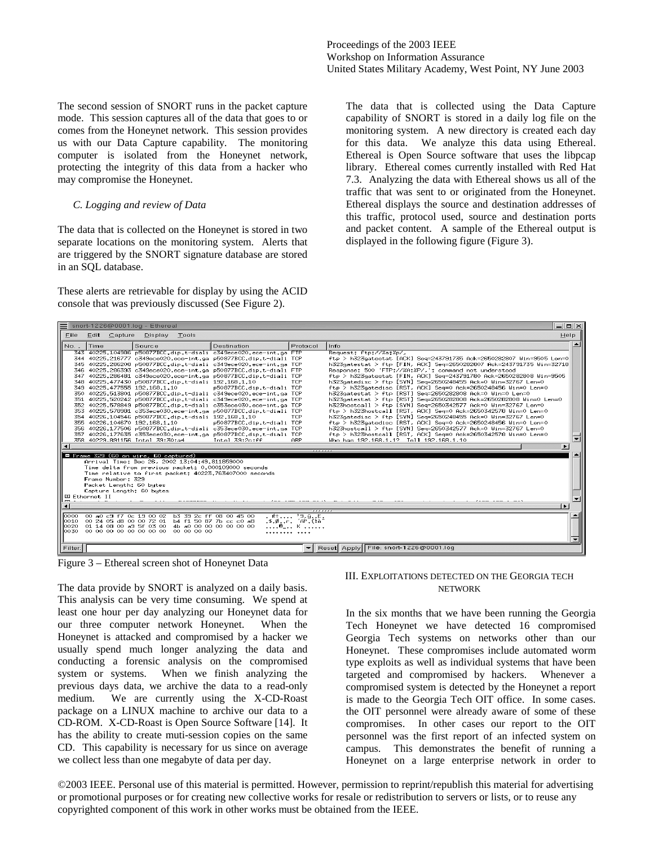Proceedings of the 2003 IEEE Workshop on Information Assurance United States Military Academy, West Point, NY June 2003

The second session of SNORT runs in the packet capture mode. This session captures all of the data that goes to or comes from the Honeynet network. This session provides us with our Data Capture capability. The monitoring computer is isolated from the Honeynet network, protecting the integrity of this data from a hacker who may compromise the Honeynet.

## *C. Logging and review of Data*

The data that is collected on the Honeynet is stored in two separate locations on the monitoring system. Alerts that are triggered by the SNORT signature database are stored in an SQL database.

These alerts are retrievable for display by using the ACID console that was previously discussed (See Figure 2).

The data that is collected using the Data Capture capability of SNORT is stored in a daily log file on the monitoring system. A new directory is created each day for this data. We analyze this data using Ethereal. Ethereal is Open Source software that uses the libpcap library. Ethereal comes currently installed with Red Hat 7.3. Analyzing the data with Ethereal shows us all of the traffic that was sent to or originated from the Honeynet. Ethereal displays the source and destination addresses of this traffic, protocol used, source and destination ports and packet content. A sample of the Ethereal output is displayed in the following figure (Figure 3).

| snort-1226@0001.log - Ethereal<br>$   $ o $  $ $\times$ |                               |                                                                                                         |                                                                                                  |                                                                                                                                                                                                                                                                                                                     |                                                                                                                               |  |  |
|---------------------------------------------------------|-------------------------------|---------------------------------------------------------------------------------------------------------|--------------------------------------------------------------------------------------------------|---------------------------------------------------------------------------------------------------------------------------------------------------------------------------------------------------------------------------------------------------------------------------------------------------------------------|-------------------------------------------------------------------------------------------------------------------------------|--|--|
| Help<br>Edit Capture Display Tools<br>File              |                               |                                                                                                         |                                                                                                  |                                                                                                                                                                                                                                                                                                                     |                                                                                                                               |  |  |
| No.                                                     | Time                          | Source                                                                                                  | Destination                                                                                      | Protocol                                                                                                                                                                                                                                                                                                            | Infn                                                                                                                          |  |  |
|                                                         |                               |                                                                                                         | 343 40225,104986 p50877BCC.dip.t-diali c349ece020.ece-int.ga FTP                                 |                                                                                                                                                                                                                                                                                                                     | Request: ftp://%a:%p/,                                                                                                        |  |  |
|                                                         |                               |                                                                                                         | 344 40225,216777 c349ece020,ece-int,ga p50877BCC,dip,t-diali TCP                                 |                                                                                                                                                                                                                                                                                                                     | ftp > h323qatestat [ACK] Seg=243791735 Ack=2650282807 Win=9505 Len=0                                                          |  |  |
|                                                         |                               |                                                                                                         | 345 40225.286208 p50877BCC.dip.t-diali c349ece020.ece-int.ga TCP                                 |                                                                                                                                                                                                                                                                                                                     | h323gatestat > ftp [FIN, ACK] Seq=2650282807 Ack=243791735 Win=32718                                                          |  |  |
|                                                         |                               |                                                                                                         | 346 40225,286393 c349ece020,ece-int,ga p50877BCC,dip,t-diali FTP                                 |                                                                                                                                                                                                                                                                                                                     | Response: 500 'FTP://%A:%P/,': command not understood                                                                         |  |  |
|                                                         |                               |                                                                                                         | 347 40225.286481 c349ece020.ece-int.ga p50877BCC.dip.t-diali TCP                                 |                                                                                                                                                                                                                                                                                                                     | ftp > h323gatestat [FIN, ACK] Seq=243791780 Ack=2650282808 Win=9505                                                           |  |  |
|                                                         |                               | 348 40225.477430 p50877BCC.dip.t-diali 192.168.1.10                                                     |                                                                                                  | <b>TCP</b>                                                                                                                                                                                                                                                                                                          | h323gatedisc > ftp [SYN] Seg=2650248455 Ack=0 Win=32767 Len=0                                                                 |  |  |
|                                                         | 349 40225.477555 192.168.1.10 |                                                                                                         | p50877BCC.dip.t-diali TCP<br>350  40225,513801  p50877BCC.dip.t-diali  c349ece020.ece-int.ga TCP |                                                                                                                                                                                                                                                                                                                     | $ftp$ > h323qatedisc [RST, ACK] Seq=0 Ack=2650248456 Win=0 Len=0<br>h323gatestat > ftp [RST] Seq=2650282808 Ack=0 Win=0 Len=0 |  |  |
|                                                         |                               |                                                                                                         | 351 40225,520242 p50877BCC.dip.t-diali c349ece020.ece-int.ga TCP                                 |                                                                                                                                                                                                                                                                                                                     | h323qatestat > ftp [RST] Seq=2650282808 Ack=2650282808 Win=0 Len=0                                                            |  |  |
|                                                         |                               |                                                                                                         |                                                                                                  |                                                                                                                                                                                                                                                                                                                     | h323hostcall > ftp [SYN] Seg=2650342577 Ack=0 Win=32767 Len=0                                                                 |  |  |
|                                                         |                               |                                                                                                         | 353 40225.578981 c353ece030.ece-int.ga p50877BCC.dip.t-diali TCP                                 |                                                                                                                                                                                                                                                                                                                     | $ftp$ > h323hostcall [RST, ACK] Seg=0 Ack=2650342578 Win=0 Len=0                                                              |  |  |
|                                                         |                               | 354 40226.104546 p50877BCC.dip.t-diali 192.168.1.10                                                     |                                                                                                  | TCP                                                                                                                                                                                                                                                                                                                 | h323gatedisc > ftp [SYN] Seg=2650248455 Ack=0 Win=32767 Len=0                                                                 |  |  |
|                                                         | 355 40226.104670 192.168.1.10 |                                                                                                         | p50877BCC.dip.t-diali TCP                                                                        |                                                                                                                                                                                                                                                                                                                     | ftp > h323gatedisc [RST, ACK] Seq=0 Ack=2650248456 Win=0 Len=0                                                                |  |  |
|                                                         |                               |                                                                                                         |                                                                                                  |                                                                                                                                                                                                                                                                                                                     | h323hostcall > ftp [SYN] Seg=2650342577 Ack=0 Win=32767 Len=0                                                                 |  |  |
|                                                         |                               |                                                                                                         | 357 40226,177635 c353ece030,ece-int,ga p50877BCC,dip,t-diali TCP                                 |                                                                                                                                                                                                                                                                                                                     | ftp > h323hostcall [RST, ACK] Seq=0 Ack=2650342578 Win=0 Len=0                                                                |  |  |
|                                                         |                               | 358 40229.891156 Intel 39:30:a4                                                                         | Intel 39:2c:ff                                                                                   | ARP                                                                                                                                                                                                                                                                                                                 | Jilho has 192.168.1.12 Tell 192.168.1.10                                                                                      |  |  |
|                                                         |                               |                                                                                                         |                                                                                                  |                                                                                                                                                                                                                                                                                                                     | $\blacktriangleright$                                                                                                         |  |  |
| .<br>Frame 329 (60 on wire, 60 captured)                |                               |                                                                                                         |                                                                                                  |                                                                                                                                                                                                                                                                                                                     |                                                                                                                               |  |  |
| Arrival Time: Dec 26, 2002 13:04:49.811859000           |                               |                                                                                                         |                                                                                                  |                                                                                                                                                                                                                                                                                                                     |                                                                                                                               |  |  |
| Time delta from previous packet: 0.000109000 seconds    |                               |                                                                                                         |                                                                                                  |                                                                                                                                                                                                                                                                                                                     |                                                                                                                               |  |  |
| Time relative to first packet: 40223.763407000 seconds  |                               |                                                                                                         |                                                                                                  |                                                                                                                                                                                                                                                                                                                     |                                                                                                                               |  |  |
| Frame Number: 329                                       |                               |                                                                                                         |                                                                                                  |                                                                                                                                                                                                                                                                                                                     |                                                                                                                               |  |  |
|                                                         | Packet Length: 60 bytes       |                                                                                                         |                                                                                                  |                                                                                                                                                                                                                                                                                                                     |                                                                                                                               |  |  |
| Capture Length: 60 butes                                |                               |                                                                                                         |                                                                                                  |                                                                                                                                                                                                                                                                                                                     |                                                                                                                               |  |  |
| 田 Ethernet II<br>$m + 1$                                |                               |                                                                                                         |                                                                                                  |                                                                                                                                                                                                                                                                                                                     |                                                                                                                               |  |  |
| ◂                                                       |                               |                                                                                                         |                                                                                                  |                                                                                                                                                                                                                                                                                                                     | $\blacktriangleright$                                                                                                         |  |  |
|                                                         |                               |                                                                                                         |                                                                                                  |                                                                                                                                                                                                                                                                                                                     |                                                                                                                               |  |  |
| loooo-                                                  |                               | 00 a0 c9 f7 0c 19 00 02 b3 39 2c ff 08 00 45 00                                                         |                                                                                                  | $\frac{1}{2}$ $\frac{1}{2}$ $\frac{1}{2}$ $\frac{1}{2}$ $\frac{1}{2}$ $\frac{1}{2}$ $\frac{1}{2}$ $\frac{1}{2}$ $\frac{1}{2}$ $\frac{1}{2}$ $\frac{1}{2}$ $\frac{1}{2}$ $\frac{1}{2}$ $\frac{1}{2}$ $\frac{1}{2}$ $\frac{1}{2}$ $\frac{1}{2}$ $\frac{1}{2}$ $\frac{1}{2}$ $\frac{1}{2}$ $\frac{1}{2}$ $\frac{1}{2}$ |                                                                                                                               |  |  |
| 0010                                                    |                               | 00 24 05 d8 00 00 72 01 b4 f1 50 87 7b cc c0 a8<br>0020 01:14:08:00 a9:5£:03:00 4h a0:00:00:00:00:00:00 |                                                                                                  | .\$.0r. ´ñP.{ìÀ'<br>8 <sub>-</sub> K                                                                                                                                                                                                                                                                                |                                                                                                                               |  |  |
|                                                         |                               |                                                                                                         |                                                                                                  |                                                                                                                                                                                                                                                                                                                     |                                                                                                                               |  |  |
|                                                         |                               |                                                                                                         |                                                                                                  |                                                                                                                                                                                                                                                                                                                     |                                                                                                                               |  |  |
|                                                         |                               |                                                                                                         |                                                                                                  |                                                                                                                                                                                                                                                                                                                     |                                                                                                                               |  |  |
| Filter:                                                 |                               |                                                                                                         |                                                                                                  |                                                                                                                                                                                                                                                                                                                     | Reset Apply File: snort-1226@0001.log                                                                                         |  |  |
|                                                         |                               |                                                                                                         |                                                                                                  |                                                                                                                                                                                                                                                                                                                     |                                                                                                                               |  |  |



The data provide by SNORT is analyzed on a daily basis. This analysis can be very time consuming. We spend at least one hour per day analyzing our Honeynet data for our three computer network Honeynet. When the Honeynet is attacked and compromised by a hacker we usually spend much longer analyzing the data and conducting a forensic analysis on the compromised system or systems. When we finish analyzing the previous days data, we archive the data to a read-only medium. We are currently using the X-CD-Roast package on a LINUX machine to archive our data to a CD-ROM. X-CD-Roast is Open Source Software [14]. It has the ability to create muti-session copies on the same CD. This capability is necessary for us since on average we collect less than one megabyte of data per day.

## III. EXPLOITATIONS DETECTED ON THE GEORGIA TECH NETWORK

In the six months that we have been running the Georgia Tech Honeynet we have detected 16 compromised Georgia Tech systems on networks other than our Honeynet. These compromises include automated worm type exploits as well as individual systems that have been targeted and compromised by hackers. Whenever a compromised system is detected by the Honeynet a report is made to the Georgia Tech OIT office. In some cases. the OIT personnel were already aware of some of these compromises. In other cases our report to the OIT personnel was the first report of an infected system on campus. This demonstrates the benefit of running a Honeynet on a large enterprise network in order to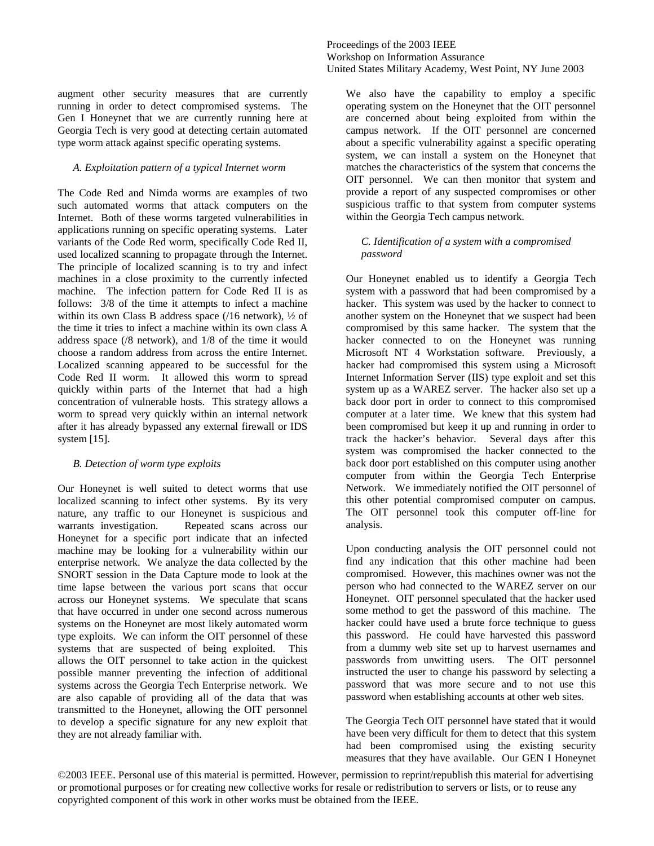augment other security measures that are currently running in order to detect compromised systems. The Gen I Honeynet that we are currently running here at Georgia Tech is very good at detecting certain automated type worm attack against specific operating systems.

#### *A. Exploitation pattern of a typical Internet worm*

The Code Red and Nimda worms are examples of two such automated worms that attack computers on the Internet. Both of these worms targeted vulnerabilities in applications running on specific operating systems. Later variants of the Code Red worm, specifically Code Red II, used localized scanning to propagate through the Internet. The principle of localized scanning is to try and infect machines in a close proximity to the currently infected machine. The infection pattern for Code Red II is as follows: 3/8 of the time it attempts to infect a machine within its own Class B address space (/16 network), ½ of the time it tries to infect a machine within its own class A address space (/8 network), and 1/8 of the time it would choose a random address from across the entire Internet. Localized scanning appeared to be successful for the Code Red II worm. It allowed this worm to spread quickly within parts of the Internet that had a high concentration of vulnerable hosts. This strategy allows a worm to spread very quickly within an internal network after it has already bypassed any external firewall or IDS system [15].

## *B. Detection of worm type exploits*

Our Honeynet is well suited to detect worms that use localized scanning to infect other systems. By its very nature, any traffic to our Honeynet is suspicious and warrants investigation. Repeated scans across our Honeynet for a specific port indicate that an infected machine may be looking for a vulnerability within our enterprise network. We analyze the data collected by the SNORT session in the Data Capture mode to look at the time lapse between the various port scans that occur across our Honeynet systems. We speculate that scans that have occurred in under one second across numerous systems on the Honeynet are most likely automated worm type exploits. We can inform the OIT personnel of these systems that are suspected of being exploited. This allows the OIT personnel to take action in the quickest possible manner preventing the infection of additional systems across the Georgia Tech Enterprise network. We are also capable of providing all of the data that was transmitted to the Honeynet, allowing the OIT personnel to develop a specific signature for any new exploit that they are not already familiar with.

We also have the capability to employ a specific operating system on the Honeynet that the OIT personnel are concerned about being exploited from within the campus network. If the OIT personnel are concerned about a specific vulnerability against a specific operating system, we can install a system on the Honeynet that matches the characteristics of the system that concerns the OIT personnel. We can then monitor that system and provide a report of any suspected compromises or other suspicious traffic to that system from computer systems within the Georgia Tech campus network.

## *C. Identification of a system with a compromised password*

Our Honeynet enabled us to identify a Georgia Tech system with a password that had been compromised by a hacker. This system was used by the hacker to connect to another system on the Honeynet that we suspect had been compromised by this same hacker. The system that the hacker connected to on the Honeynet was running Microsoft NT 4 Workstation software. Previously, a hacker had compromised this system using a Microsoft Internet Information Server (IIS) type exploit and set this system up as a WAREZ server. The hacker also set up a back door port in order to connect to this compromised computer at a later time. We knew that this system had been compromised but keep it up and running in order to track the hacker's behavior. Several days after this system was compromised the hacker connected to the back door port established on this computer using another computer from within the Georgia Tech Enterprise Network. We immediately notified the OIT personnel of this other potential compromised computer on campus. The OIT personnel took this computer off-line for analysis.

Upon conducting analysis the OIT personnel could not find any indication that this other machine had been compromised. However, this machines owner was not the person who had connected to the WAREZ server on our Honeynet. OIT personnel speculated that the hacker used some method to get the password of this machine. The hacker could have used a brute force technique to guess this password. He could have harvested this password from a dummy web site set up to harvest usernames and passwords from unwitting users. The OIT personnel instructed the user to change his password by selecting a password that was more secure and to not use this password when establishing accounts at other web sites.

The Georgia Tech OIT personnel have stated that it would have been very difficult for them to detect that this system had been compromised using the existing security measures that they have available. Our GEN I Honeynet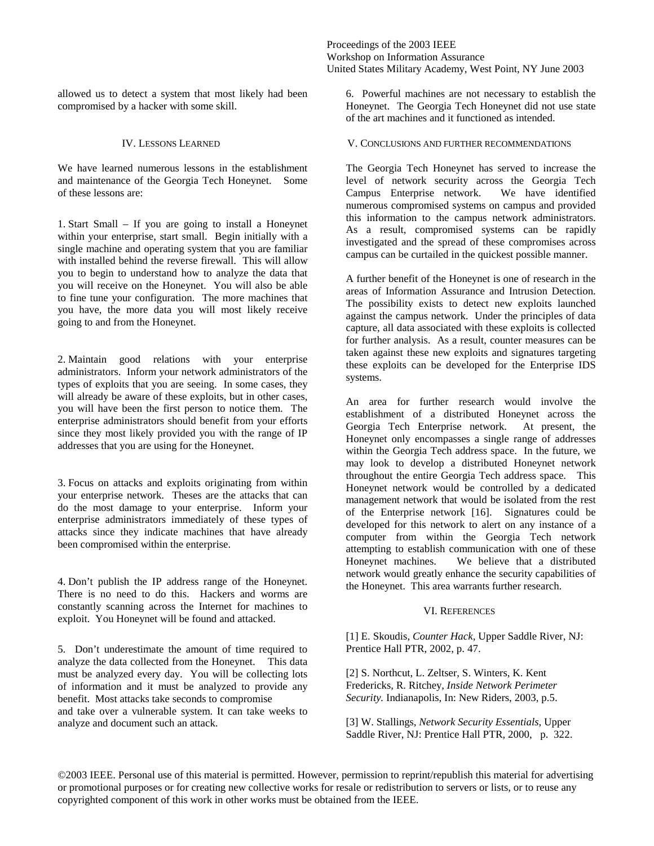allowed us to detect a system that most likely had been compromised by a hacker with some skill.

#### IV. LESSONS LEARNED

We have learned numerous lessons in the establishment and maintenance of the Georgia Tech Honeynet. Some of these lessons are:

1. Start Small – If you are going to install a Honeynet within your enterprise, start small. Begin initially with a single machine and operating system that you are familiar with installed behind the reverse firewall. This will allow you to begin to understand how to analyze the data that you will receive on the Honeynet. You will also be able to fine tune your configuration. The more machines that you have, the more data you will most likely receive going to and from the Honeynet.

2. Maintain good relations with your enterprise administrators. Inform your network administrators of the types of exploits that you are seeing. In some cases, they will already be aware of these exploits, but in other cases, you will have been the first person to notice them. The enterprise administrators should benefit from your efforts since they most likely provided you with the range of IP addresses that you are using for the Honeynet.

3. Focus on attacks and exploits originating from within your enterprise network. Theses are the attacks that can do the most damage to your enterprise. Inform your enterprise administrators immediately of these types of attacks since they indicate machines that have already been compromised within the enterprise.

4. Don't publish the IP address range of the Honeynet. There is no need to do this. Hackers and worms are constantly scanning across the Internet for machines to exploit. You Honeynet will be found and attacked.

5. Don't underestimate the amount of time required to analyze the data collected from the Honeynet. This data must be analyzed every day. You will be collecting lots of information and it must be analyzed to provide any benefit. Most attacks take seconds to compromise and take over a vulnerable system. It can take weeks to analyze and document such an attack.

 Proceedings of the 2003 IEEE Workshop on Information Assurance United States Military Academy, West Point, NY June 2003

6. Powerful machines are not necessary to establish the Honeynet. The Georgia Tech Honeynet did not use state of the art machines and it functioned as intended.

V. CONCLUSIONS AND FURTHER RECOMMENDATIONS

The Georgia Tech Honeynet has served to increase the level of network security across the Georgia Tech Campus Enterprise network. We have identified numerous compromised systems on campus and provided this information to the campus network administrators. As a result, compromised systems can be rapidly investigated and the spread of these compromises across campus can be curtailed in the quickest possible manner.

A further benefit of the Honeynet is one of research in the areas of Information Assurance and Intrusion Detection. The possibility exists to detect new exploits launched against the campus network. Under the principles of data capture, all data associated with these exploits is collected for further analysis. As a result, counter measures can be taken against these new exploits and signatures targeting these exploits can be developed for the Enterprise IDS systems.

An area for further research would involve the establishment of a distributed Honeynet across the Georgia Tech Enterprise network. At present, the Honeynet only encompasses a single range of addresses within the Georgia Tech address space. In the future, we may look to develop a distributed Honeynet network throughout the entire Georgia Tech address space. This Honeynet network would be controlled by a dedicated management network that would be isolated from the rest of the Enterprise network [16]. Signatures could be developed for this network to alert on any instance of a computer from within the Georgia Tech network attempting to establish communication with one of these Honeynet machines. We believe that a distributed network would greatly enhance the security capabilities of the Honeynet. This area warrants further research.

### VI. REFERENCES

[1] E. Skoudis, *Counter Hack,* Upper Saddle River, NJ: Prentice Hall PTR, 2002, p. 47.

[2] S. Northcut, L. Zeltser, S. Winters, K. Kent Fredericks, R. Ritchey, *Inside Network Perimeter Security.* Indianapolis, In: New Riders, 2003, p.5.

[3] W. Stallings, *Network Security Essentials,* Upper Saddle River, NJ: Prentice Hall PTR, 2000, p. 322.